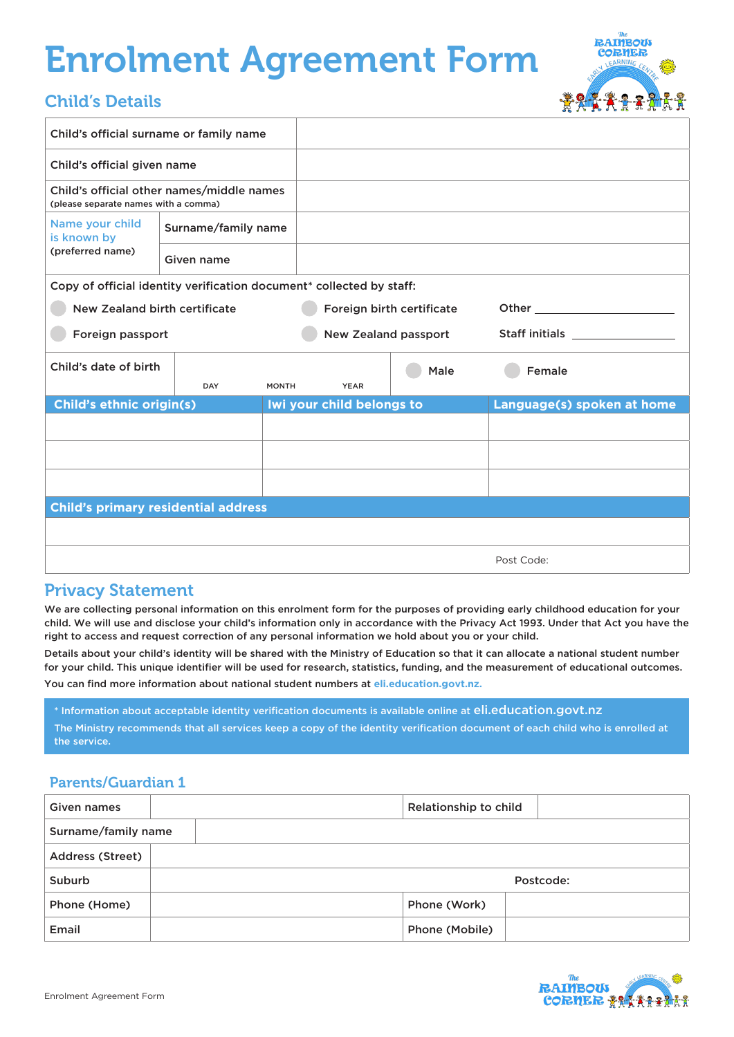# Enrolment Agreement Form

#### Child's Details

| <b>The</b><br><b>RAIMBOUS</b> |  |
|-------------------------------|--|
| <b>CORNER</b>                 |  |
| LEARNING CENTRA               |  |
|                               |  |
|                               |  |
|                               |  |

| Child's official surname or family name                                           |                     |              |                             |      |                                                                                                                |
|-----------------------------------------------------------------------------------|---------------------|--------------|-----------------------------|------|----------------------------------------------------------------------------------------------------------------|
| Child's official given name                                                       |                     |              |                             |      |                                                                                                                |
| Child's official other names/middle names<br>(please separate names with a comma) |                     |              |                             |      |                                                                                                                |
| Name your child<br>is known by                                                    | Surname/family name |              |                             |      |                                                                                                                |
| (preferred name)                                                                  | Given name          |              |                             |      |                                                                                                                |
| Copy of official identity verification document* collected by staff:              |                     |              |                             |      |                                                                                                                |
| New Zealand birth certificate                                                     |                     |              | Foreign birth certificate   |      | Other the control of the control of the control of the control of the control of the control of the control of |
| Foreign passport                                                                  |                     |              | <b>New Zealand passport</b> |      | Staff initials <b>Staff initials</b>                                                                           |
| Child's date of birth<br><b>DAY</b>                                               |                     | <b>MONTH</b> | <b>YEAR</b>                 | Male | Female                                                                                                         |
| <b>Child's ethnic origin(s)</b>                                                   |                     |              | Iwi your child belongs to   |      | Language(s) spoken at home                                                                                     |
|                                                                                   |                     |              |                             |      |                                                                                                                |
|                                                                                   |                     |              |                             |      |                                                                                                                |
|                                                                                   |                     |              |                             |      |                                                                                                                |
| <b>Child's primary residential address</b>                                        |                     |              |                             |      |                                                                                                                |
|                                                                                   |                     |              |                             |      |                                                                                                                |
|                                                                                   |                     |              |                             |      |                                                                                                                |

#### Privacy Statement

We are collecting personal information on this enrolment form for the purposes of providing early childhood education for your child. We will use and disclose your child's information only in accordance with the Privacy Act 1993. Under that Act you have the right to access and request correction of any personal information we hold about you or your child.

Details about your child's identity will be shared with the Ministry of Education so that it can allocate a national student number for your child. This unique identifier will be used for research, statistics, funding, and the measurement of educational outcomes.

You can find more information about national student numbers at **eli.education.govt.nz.** 

\* Information about acceptable identity verification documents is available online at eli.education.govt.nz The Ministry recommends that all services keep a copy of the identity verification document of each child who is enrolled at the service.

#### Parents/Guardian 1

| Given names         | Relationship to child |  |  |  |
|---------------------|-----------------------|--|--|--|
| Surname/family name |                       |  |  |  |
| Address (Street)    |                       |  |  |  |
| Suburb              | Postcode:             |  |  |  |
| Phone (Home)        | Phone (Work)          |  |  |  |
| Email               | Phone (Mobile)        |  |  |  |

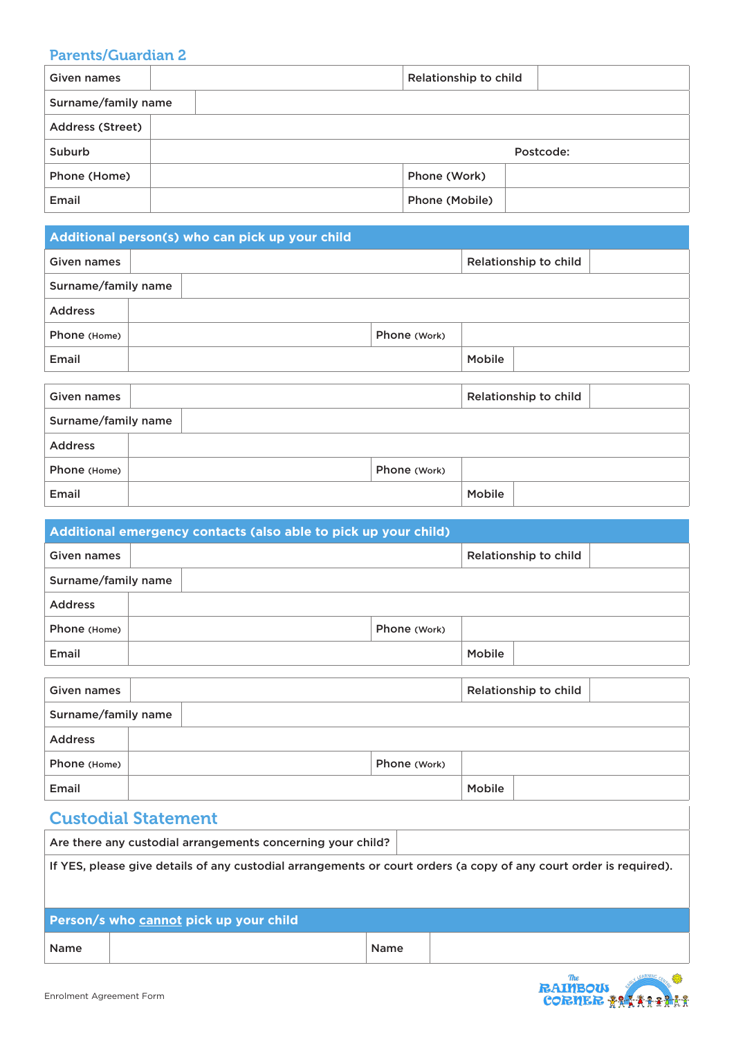#### Parents/Guardian 2

| Given names             | Relationship to child |  |  |  |
|-------------------------|-----------------------|--|--|--|
| Surname/family name     |                       |  |  |  |
| <b>Address (Street)</b> |                       |  |  |  |
| Suburb                  | Postcode:             |  |  |  |
| Phone (Home)            | Phone (Work)          |  |  |  |
| Email                   | Phone (Mobile)        |  |  |  |

| Additional person(s) who can pick up your child |                       |              |               |                       |  |  |
|-------------------------------------------------|-----------------------|--------------|---------------|-----------------------|--|--|
| Given names                                     | Relationship to child |              |               |                       |  |  |
|                                                 | Surname/family name   |              |               |                       |  |  |
| <b>Address</b>                                  |                       |              |               |                       |  |  |
| Phone (Home)                                    |                       | Phone (Work) |               |                       |  |  |
| Email                                           |                       |              | Mobile        |                       |  |  |
|                                                 |                       |              |               |                       |  |  |
| Given names                                     |                       |              |               | Relationship to child |  |  |
| Surname/family name                             |                       |              |               |                       |  |  |
| <b>Address</b>                                  |                       |              |               |                       |  |  |
| Phone (Home)                                    |                       | Phone (Work) |               |                       |  |  |
| Email                                           |                       |              | <b>Mobile</b> |                       |  |  |

| Additional emergency contacts (also able to pick up your child) |              |  |                       |  |  |
|-----------------------------------------------------------------|--------------|--|-----------------------|--|--|
| Given names                                                     |              |  | Relationship to child |  |  |
| Surname/family name                                             |              |  |                       |  |  |
| <b>Address</b>                                                  |              |  |                       |  |  |
| Phone (Home)                                                    | Phone (Work) |  |                       |  |  |
| Email                                                           |              |  | Mobile                |  |  |
|                                                                 |              |  |                       |  |  |
| Relationship to child<br><b>Given names</b>                     |              |  |                       |  |  |
| Surname/family name                                             |              |  |                       |  |  |
|                                                                 |              |  |                       |  |  |

| <b>Address</b> |              |        |  |
|----------------|--------------|--------|--|
| Phone (Home)   | Phone (Work) |        |  |
| Email          |              | Mobile |  |

#### Custodial Statement

|                                                                                                                    | Are there any custodial arrangements concerning your child? |      |  |  |  |
|--------------------------------------------------------------------------------------------------------------------|-------------------------------------------------------------|------|--|--|--|
| If YES, please give details of any custodial arrangements or court orders (a copy of any court order is required). |                                                             |      |  |  |  |
|                                                                                                                    |                                                             |      |  |  |  |
|                                                                                                                    | Person/s who cannot pick up your child                      |      |  |  |  |
| <b>Name</b>                                                                                                        |                                                             | Name |  |  |  |

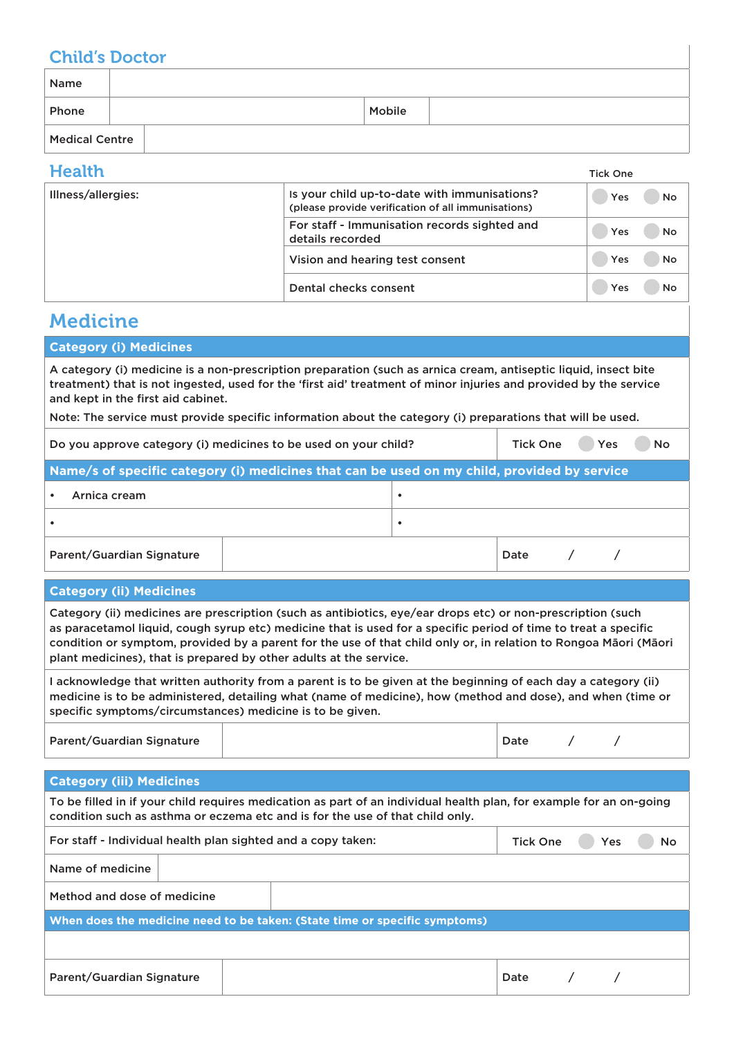#### Child's Doctor

| Name                  |        |
|-----------------------|--------|
| Phone                 | Mobile |
| <b>Medical Centre</b> |        |

| <b>Health</b>      | <b>Tick One</b>                                                                                    |           |
|--------------------|----------------------------------------------------------------------------------------------------|-----------|
| Illness/allergies: | Is your child up-to-date with immunisations?<br>(please provide verification of all immunisations) | No<br>Yes |
|                    | For staff - Immunisation records sighted and<br>details recorded                                   | No<br>Yes |
|                    | Vision and hearing test consent                                                                    | Yes<br>No |
|                    | Dental checks consent                                                                              | No<br>Yes |

# Medicine

| <b>Category (i) Medicines</b>                                                                                                                                                                                                        |
|--------------------------------------------------------------------------------------------------------------------------------------------------------------------------------------------------------------------------------------|
| A category (i) medicine is a non-prescription preparation (such as arnica cream, antiseptic liquid, insect bite<br>treatment) that is not ingested, used for the 'first aid' treatment of minor injuries and provided by the service |
| and kept in the first aid cabinet.                                                                                                                                                                                                   |

Note: The service must provide specific information about the category (i) preparations that will be used.

| Do you approve category (i) medicines to be used on your child?                             |  |      | Yes | <b>No</b> |  |  |
|---------------------------------------------------------------------------------------------|--|------|-----|-----------|--|--|
| Name/s of specific category (i) medicines that can be used on my child, provided by service |  |      |     |           |  |  |
| Arnica cream                                                                                |  |      |     |           |  |  |
|                                                                                             |  |      |     |           |  |  |
| Parent/Guardian Signature                                                                   |  | Date |     |           |  |  |

#### **Category (ii) Medicines**

Category (ii) medicines are prescription (such as antibiotics, eye/ear drops etc) or non-prescription (such as paracetamol liquid, cough syrup etc) medicine that is used for a specific period of time to treat a specific condition or symptom, provided by a parent for the use of that child only or, in relation to Rongoa Māori (Māori plant medicines), that is prepared by other adults at the service.

I acknowledge that written authority from a parent is to be given at the beginning of each day a category (ii) medicine is to be administered, detailing what (name of medicine), how (method and dose), and when (time or specific symptoms/circumstances) medicine is to be given.

Parent/Guardian Signature 2012 12:00 12:00 12:00 12:00 12:00 12:00 12:00 12:00 12:00 12:00 12:00 12:00 12:00 1

| Date |
|------|
|      |

#### **Category (iii) Medicines**

Enrolment Agreement Form

| To be filled in if your child requires medication as part of an individual health plan, for example for an on-going<br>condition such as asthma or eczema etc and is for the use of that child only. |  |                 |            |    |  |
|------------------------------------------------------------------------------------------------------------------------------------------------------------------------------------------------------|--|-----------------|------------|----|--|
| For staff - Individual health plan sighted and a copy taken:                                                                                                                                         |  | <b>Tick One</b> | <b>Yes</b> | No |  |
| Name of medicine                                                                                                                                                                                     |  |                 |            |    |  |
| Method and dose of medicine                                                                                                                                                                          |  |                 |            |    |  |
| When does the medicine need to be taken: (State time or specific symptoms)                                                                                                                           |  |                 |            |    |  |
|                                                                                                                                                                                                      |  |                 |            |    |  |
| Parent/Guardian Signature                                                                                                                                                                            |  |                 | Date       |    |  |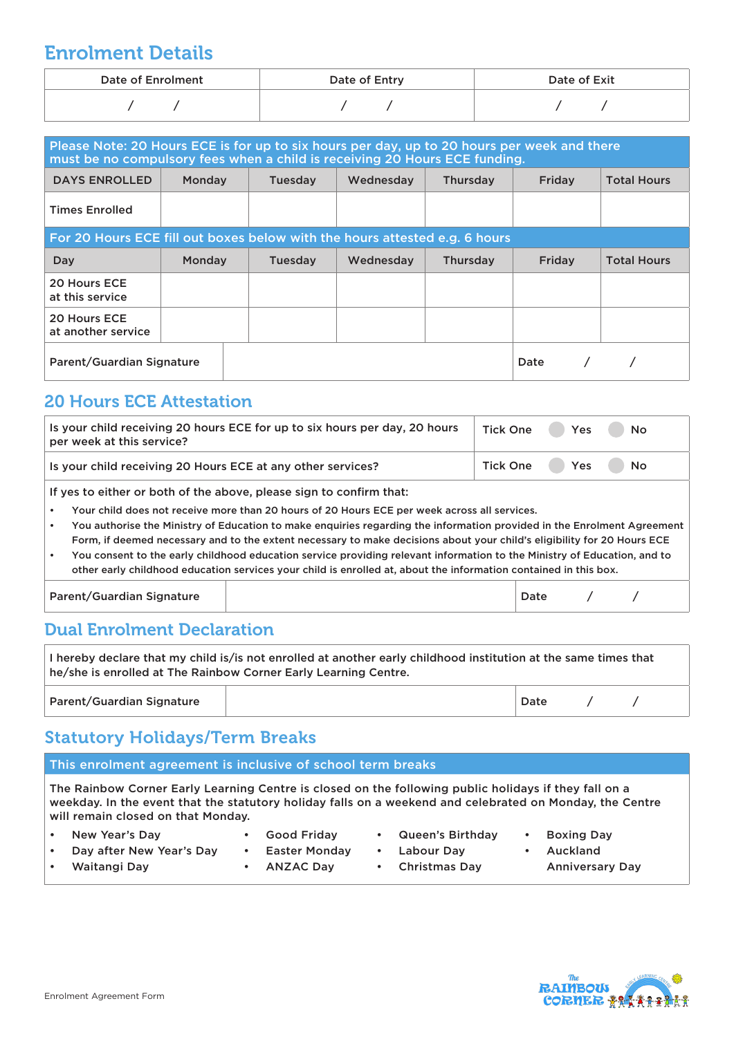# Enrolment Details

| <b>Date of Enrolment</b> | Date of Entry | Date of Exit |
|--------------------------|---------------|--------------|
|                          |               |              |

| Please Note: 20 Hours ECE is for up to six hours per day, up to 20 hours per week and there<br>must be no compulsory fees when a child is receiving 20 Hours ECE funding. |        |         |           |          |        |                    |  |
|---------------------------------------------------------------------------------------------------------------------------------------------------------------------------|--------|---------|-----------|----------|--------|--------------------|--|
| <b>DAYS ENROLLED</b>                                                                                                                                                      | Monday | Tuesday | Wednesday | Thursday | Friday | <b>Total Hours</b> |  |
| <b>Times Enrolled</b>                                                                                                                                                     |        |         |           |          |        |                    |  |
| For 20 Hours ECE fill out boxes below with the hours attested e.g. 6 hours                                                                                                |        |         |           |          |        |                    |  |
| Day                                                                                                                                                                       | Monday | Tuesday | Wednesday | Thursday | Friday | <b>Total Hours</b> |  |
| 20 Hours ECE<br>at this service                                                                                                                                           |        |         |           |          |        |                    |  |
| 20 Hours ECE<br>at another service                                                                                                                                        |        |         |           |          |        |                    |  |
| Parent/Guardian Signature                                                                                                                                                 |        |         |           |          | Date   |                    |  |

#### 20 Hours ECE Attestation

| Is your child receiving 20 hours ECE for up to six hours per day, 20 hours<br>per week at this service? | Tick One Yes No |
|---------------------------------------------------------------------------------------------------------|-----------------|
| Is your child receiving 20 Hours ECE at any other services?                                             | Tick One Yes No |
|                                                                                                         |                 |

If yes to either or both of the above, please sign to confirm that:

- Your child does not receive more than 20 hours of 20 Hours ECE per week across all services.
- You authorise the Ministry of Education to make enquiries regarding the information provided in the Enrolment Agreement Form, if deemed necessary and to the extent necessary to make decisions about your child's eligibility for 20 Hours ECE
- You consent to the early childhood education service providing relevant information to the Ministry of Education, and to other early childhood education services your child is enrolled at, about the information contained in this box.

Parent/Guardian Signature and Date and Date and Date and Date and Date and Date and Date and Date and Date and D

#### Dual Enrolment Declaration

| I hereby declare that my child is/is not enrolled at another early childhood institution at the same times that<br>he/she is enrolled at The Rainbow Corner Early Learning Centre. |  |      |  |  |  |
|------------------------------------------------------------------------------------------------------------------------------------------------------------------------------------|--|------|--|--|--|
| Parent/Guardian Signature                                                                                                                                                          |  | Date |  |  |  |

## Statutory Holidays/Term Breaks

This enrolment agreement is inclusive of school term breaks

The Rainbow Corner Early Learning Centre is closed on the following public holidays if they fall on a weekday. In the event that the statutory holiday falls on a weekend and celebrated on Monday, the Centre will remain closed on that Monday.

| New Year's Day           | <b>Good Fridav</b> | • Queen's Birthday | <b>Boxing Day</b>      |
|--------------------------|--------------------|--------------------|------------------------|
| Day after New Year's Day | Easter Monday      | Labour Dav         | Auckland               |
| Waitangi Day             | ANZAC Day          | • Christmas Dav    | <b>Anniversary Day</b> |

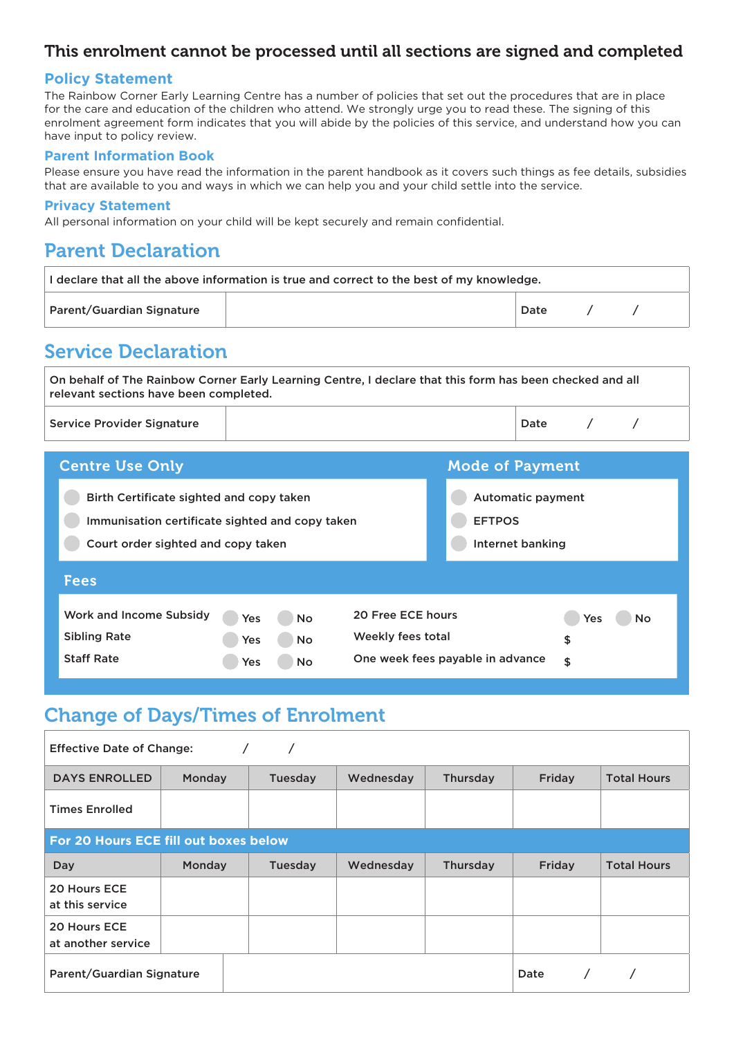#### This enrolment cannot be processed until all sections are signed and completed

#### **Policy Statement**

The Rainbow Corner Early Learning Centre has a number of policies that set out the procedures that are in place for the care and education of the children who attend. We strongly urge you to read these. The signing of this enrolment agreement form indicates that you will abide by the policies of this service, and understand how you can have input to policy review.

#### **Parent Information Book**

Please ensure you have read the information in the parent handbook as it covers such things as fee details, subsidies that are available to you and ways in which we can help you and your child settle into the service.

#### **Privacy Statement**

All personal information on your child will be kept securely and remain confidential.

### Parent Declaration

| I declare that all the above information is true and correct to the best of my knowledge. |  |      |  |  |  |
|-------------------------------------------------------------------------------------------|--|------|--|--|--|
| Parent/Guardian Signature                                                                 |  | Date |  |  |  |

# Service Declaration

On behalf of The Rainbow Corner Early Learning Centre, I declare that this form has been checked and all relevant sections have been completed.

| <b>Service Provider Signature</b> | Date |  |
|-----------------------------------|------|--|
|                                   |      |  |

| <b>Centre Use Only</b>                                                                                                            |                                                          |                                        | <b>Mode of Payment</b>                                        |                              |  |
|-----------------------------------------------------------------------------------------------------------------------------------|----------------------------------------------------------|----------------------------------------|---------------------------------------------------------------|------------------------------|--|
| Birth Certificate sighted and copy taken<br>Immunisation certificate sighted and copy taken<br>Court order sighted and copy taken |                                                          |                                        | <b>Automatic payment</b><br><b>EFTPOS</b><br>Internet banking |                              |  |
| <b>Fees</b>                                                                                                                       |                                                          |                                        |                                                               |                              |  |
| Work and Income Subsidy<br><b>Sibling Rate</b><br><b>Staff Rate</b>                                                               | <b>No</b><br>Yes<br><b>Yes</b><br><b>No</b><br>Yes<br>No | 20 Free ECE hours<br>Weekly fees total | One week fees payable in advance                              | Yes<br><b>No</b><br>\$<br>\$ |  |

# Change of Days/Times of Enrolment

| <b>Effective Date of Change:</b>   |                                       |         |           |          |        |                    |  |  |
|------------------------------------|---------------------------------------|---------|-----------|----------|--------|--------------------|--|--|
| <b>DAYS ENROLLED</b>               | Monday                                | Tuesday | Wednesday | Thursday | Friday | <b>Total Hours</b> |  |  |
| <b>Times Enrolled</b>              |                                       |         |           |          |        |                    |  |  |
|                                    | For 20 Hours ECE fill out boxes below |         |           |          |        |                    |  |  |
| <b>Day</b>                         | Monday                                | Tuesday | Wednesday | Thursday | Friday | <b>Total Hours</b> |  |  |
| 20 Hours ECE<br>at this service    |                                       |         |           |          |        |                    |  |  |
| 20 Hours ECE<br>at another service |                                       |         |           |          |        |                    |  |  |
| Parent/Guardian Signature          |                                       |         |           |          | Date   |                    |  |  |